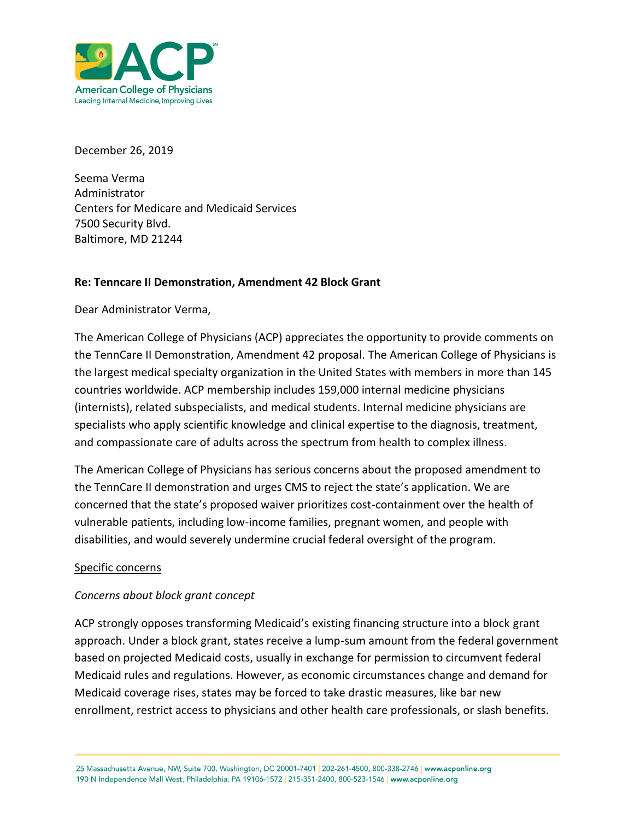

December 26, 2019

Seema Verma Administrator Centers for Medicare and Medicaid Services 7500 Security Blvd. Baltimore, MD 21244

### **Re: Tenncare II Demonstration, Amendment 42 Block Grant**

Dear Administrator Verma,

The American College of Physicians (ACP) appreciates the opportunity to provide comments on the TennCare II Demonstration, Amendment 42 proposal. The [American College of Physicians](https://www.acponline.org/) is the largest medical specialty organization in the United States with members in more than 145 countries worldwide. ACP membership includes 159,000 internal medicine physicians (internists), related subspecialists, and medical students. Internal medicine physicians are specialists who apply scientific knowledge and clinical expertise to the diagnosis, treatment, and compassionate care of adults across the spectrum from health to complex illness.

The American College of Physicians has serious concerns about the proposed amendment to the TennCare II demonstration and urges CMS to reject the state's application. We are concerned that the state's proposed waiver prioritizes cost-containment over the health of vulnerable patients, including low-income families, pregnant women, and people with disabilities, and would severely undermine crucial federal oversight of the program.

#### Specific concerns

### *Concerns about block grant concept*

ACP strongly opposes transforming Medicaid's existing financing structure into a block grant approach. Under a block grant, states receive a lump-sum amount from the federal government based on projected Medicaid costs, usually in exchange for permission to circumvent federal Medicaid rules and regulations. However, as economic circumstances change and demand for Medicaid coverage rises, states may be forced to take drastic measures, like bar new enrollment, restrict access to physicians and other health care professionals, or slash benefits.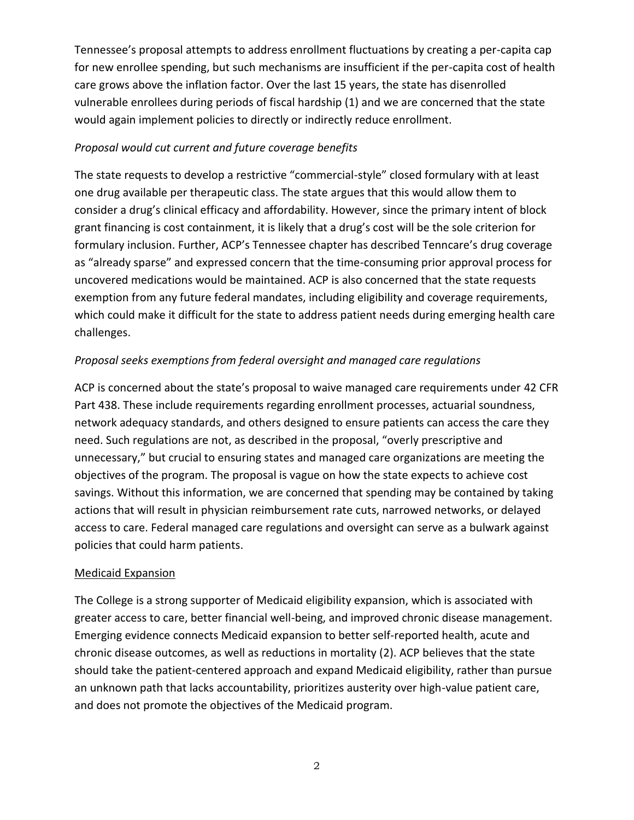Tennessee's proposal attempts to address enrollment fluctuations by creating a per-capita cap for new enrollee spending, but such mechanisms are insufficient if the per-capita cost of health care grows above the inflation factor. Over the last 15 years, the state has disenrolled vulnerable enrollees during periods of fiscal hardship (1) and we are concerned that the state would again implement policies to directly or indirectly reduce enrollment.

## *Proposal would cut current and future coverage benefits*

The state requests to develop a restrictive "commercial-style" closed formulary with at least one drug available per therapeutic class. The state argues that this would allow them to consider a drug's clinical efficacy and affordability. However, since the primary intent of block grant financing is cost containment, it is likely that a drug's cost will be the sole criterion for formulary inclusion. Further, ACP's Tennessee chapter has described Tenncare's drug coverage as "already sparse" and expressed concern that the time-consuming prior approval process for uncovered medications would be maintained. ACP is also concerned that the state requests exemption from any future federal mandates, including eligibility and coverage requirements, which could make it difficult for the state to address patient needs during emerging health care challenges.

# *Proposal seeks exemptions from federal oversight and managed care regulations*

ACP is concerned about the state's proposal to waive managed care requirements under 42 CFR Part 438. These include requirements regarding enrollment processes, actuarial soundness, network adequacy standards, and others designed to ensure patients can access the care they need. Such regulations are not, as described in the proposal, "overly prescriptive and unnecessary," but crucial to ensuring states and managed care organizations are meeting the objectives of the program. The proposal is vague on how the state expects to achieve cost savings. Without this information, we are concerned that spending may be contained by taking actions that will result in physician reimbursement rate cuts, narrowed networks, or delayed access to care. Federal managed care regulations and oversight can serve as a bulwark against policies that could harm patients.

### Medicaid Expansion

The College is a strong supporter of Medicaid eligibility expansion, which is associated with greater access to care, better financial well-being, and improved chronic disease management. Emerging evidence connects Medicaid expansion to better self-reported health, acute and chronic disease outcomes, as well as reductions in mortality (2). ACP believes that the state should take the patient-centered approach and expand Medicaid eligibility, rather than pursue an unknown path that lacks accountability, prioritizes austerity over high-value patient care, and does not promote the objectives of the Medicaid program.